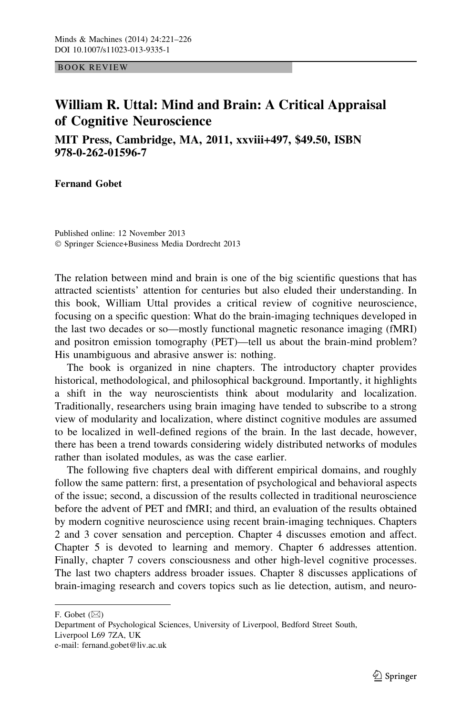BOOK REVIEW

## William R. Uttal: Mind and Brain: A Critical Appraisal of Cognitive Neuroscience

MIT Press, Cambridge, MA, 2011, xxviii+497, \$49.50, ISBN 978-0-262-01596-7

Fernand Gobet

Published online: 12 November 2013 - Springer Science+Business Media Dordrecht 2013

The relation between mind and brain is one of the big scientific questions that has attracted scientists' attention for centuries but also eluded their understanding. In this book, William Uttal provides a critical review of cognitive neuroscience, focusing on a specific question: What do the brain-imaging techniques developed in the last two decades or so—mostly functional magnetic resonance imaging (fMRI) and positron emission tomography (PET)—tell us about the brain-mind problem? His unambiguous and abrasive answer is: nothing.

The book is organized in nine chapters. The introductory chapter provides historical, methodological, and philosophical background. Importantly, it highlights a shift in the way neuroscientists think about modularity and localization. Traditionally, researchers using brain imaging have tended to subscribe to a strong view of modularity and localization, where distinct cognitive modules are assumed to be localized in well-defined regions of the brain. In the last decade, however, there has been a trend towards considering widely distributed networks of modules rather than isolated modules, as was the case earlier.

The following five chapters deal with different empirical domains, and roughly follow the same pattern: first, a presentation of psychological and behavioral aspects of the issue; second, a discussion of the results collected in traditional neuroscience before the advent of PET and fMRI; and third, an evaluation of the results obtained by modern cognitive neuroscience using recent brain-imaging techniques. Chapters 2 and 3 cover sensation and perception. Chapter 4 discusses emotion and affect. Chapter 5 is devoted to learning and memory. Chapter 6 addresses attention. Finally, chapter 7 covers consciousness and other high-level cognitive processes. The last two chapters address broader issues. Chapter 8 discusses applications of brain-imaging research and covers topics such as lie detection, autism, and neuro-

F. Gobet  $(\boxtimes)$ 

Department of Psychological Sciences, University of Liverpool, Bedford Street South, Liverpool L69 7ZA, UK e-mail: fernand.gobet@liv.ac.uk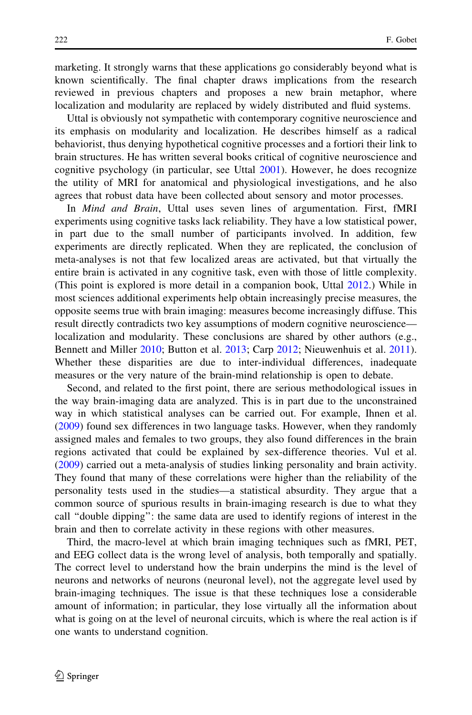marketing. It strongly warns that these applications go considerably beyond what is known scientifically. The final chapter draws implications from the research reviewed in previous chapters and proposes a new brain metaphor, where localization and modularity are replaced by widely distributed and fluid systems.

Uttal is obviously not sympathetic with contemporary cognitive neuroscience and its emphasis on modularity and localization. He describes himself as a radical behaviorist, thus denying hypothetical cognitive processes and a fortiori their link to brain structures. He has written several books critical of cognitive neuroscience and cognitive psychology (in particular, see Uttal [2001\)](#page-4-0). However, he does recognize the utility of MRI for anatomical and physiological investigations, and he also agrees that robust data have been collected about sensory and motor processes.

In Mind and Brain, Uttal uses seven lines of argumentation. First, fMRI experiments using cognitive tasks lack reliability. They have a low statistical power, in part due to the small number of participants involved. In addition, few experiments are directly replicated. When they are replicated, the conclusion of meta-analyses is not that few localized areas are activated, but that virtually the entire brain is activated in any cognitive task, even with those of little complexity. (This point is explored is more detail in a companion book, Uttal [2012.](#page-4-0)) While in most sciences additional experiments help obtain increasingly precise measures, the opposite seems true with brain imaging: measures become increasingly diffuse. This result directly contradicts two key assumptions of modern cognitive neuroscience localization and modularity. These conclusions are shared by other authors (e.g., Bennett and Miller [2010;](#page-4-0) Button et al. [2013;](#page-4-0) Carp [2012;](#page-4-0) Nieuwenhuis et al. [2011\)](#page-4-0). Whether these disparities are due to inter-individual differences, inadequate measures or the very nature of the brain-mind relationship is open to debate.

Second, and related to the first point, there are serious methodological issues in the way brain-imaging data are analyzed. This is in part due to the unconstrained way in which statistical analyses can be carried out. For example, Ihnen et al. [\(2009](#page-4-0)) found sex differences in two language tasks. However, when they randomly assigned males and females to two groups, they also found differences in the brain regions activated that could be explained by sex-difference theories. Vul et al. [\(2009](#page-5-0)) carried out a meta-analysis of studies linking personality and brain activity. They found that many of these correlations were higher than the reliability of the personality tests used in the studies—a statistical absurdity. They argue that a common source of spurious results in brain-imaging research is due to what they call ''double dipping'': the same data are used to identify regions of interest in the brain and then to correlate activity in these regions with other measures.

Third, the macro-level at which brain imaging techniques such as fMRI, PET, and EEG collect data is the wrong level of analysis, both temporally and spatially. The correct level to understand how the brain underpins the mind is the level of neurons and networks of neurons (neuronal level), not the aggregate level used by brain-imaging techniques. The issue is that these techniques lose a considerable amount of information; in particular, they lose virtually all the information about what is going on at the level of neuronal circuits, which is where the real action is if one wants to understand cognition.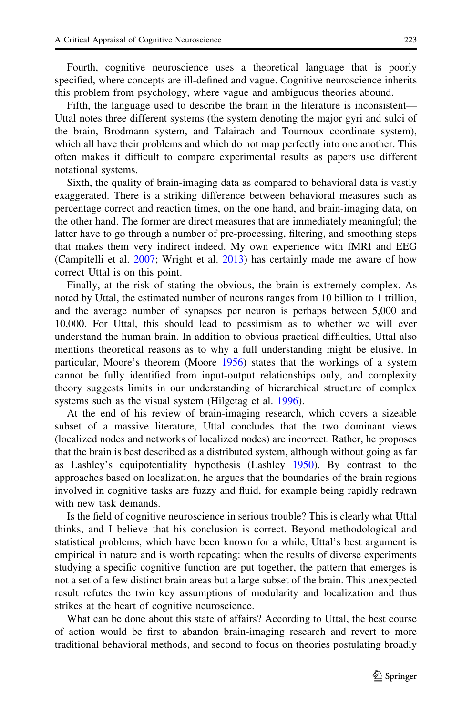Fourth, cognitive neuroscience uses a theoretical language that is poorly specified, where concepts are ill-defined and vague. Cognitive neuroscience inherits this problem from psychology, where vague and ambiguous theories abound.

Fifth, the language used to describe the brain in the literature is inconsistent— Uttal notes three different systems (the system denoting the major gyri and sulci of the brain, Brodmann system, and Talairach and Tournoux coordinate system), which all have their problems and which do not map perfectly into one another. This often makes it difficult to compare experimental results as papers use different notational systems.

Sixth, the quality of brain-imaging data as compared to behavioral data is vastly exaggerated. There is a striking difference between behavioral measures such as percentage correct and reaction times, on the one hand, and brain-imaging data, on the other hand. The former are direct measures that are immediately meaningful; the latter have to go through a number of pre-processing, filtering, and smoothing steps that makes them very indirect indeed. My own experience with fMRI and EEG (Campitelli et al. [2007;](#page-4-0) Wright et al. [2013](#page-5-0)) has certainly made me aware of how correct Uttal is on this point.

Finally, at the risk of stating the obvious, the brain is extremely complex. As noted by Uttal, the estimated number of neurons ranges from 10 billion to 1 trillion, and the average number of synapses per neuron is perhaps between 5,000 and 10,000. For Uttal, this should lead to pessimism as to whether we will ever understand the human brain. In addition to obvious practical difficulties, Uttal also mentions theoretical reasons as to why a full understanding might be elusive. In particular, Moore's theorem (Moore [1956](#page-4-0)) states that the workings of a system cannot be fully identified from input-output relationships only, and complexity theory suggests limits in our understanding of hierarchical structure of complex systems such as the visual system (Hilgetag et al. [1996\)](#page-4-0).

At the end of his review of brain-imaging research, which covers a sizeable subset of a massive literature, Uttal concludes that the two dominant views (localized nodes and networks of localized nodes) are incorrect. Rather, he proposes that the brain is best described as a distributed system, although without going as far as Lashley's equipotentiality hypothesis (Lashley [1950](#page-4-0)). By contrast to the approaches based on localization, he argues that the boundaries of the brain regions involved in cognitive tasks are fuzzy and fluid, for example being rapidly redrawn with new task demands.

Is the field of cognitive neuroscience in serious trouble? This is clearly what Uttal thinks, and I believe that his conclusion is correct. Beyond methodological and statistical problems, which have been known for a while, Uttal's best argument is empirical in nature and is worth repeating: when the results of diverse experiments studying a specific cognitive function are put together, the pattern that emerges is not a set of a few distinct brain areas but a large subset of the brain. This unexpected result refutes the twin key assumptions of modularity and localization and thus strikes at the heart of cognitive neuroscience.

What can be done about this state of affairs? According to Uttal, the best course of action would be first to abandon brain-imaging research and revert to more traditional behavioral methods, and second to focus on theories postulating broadly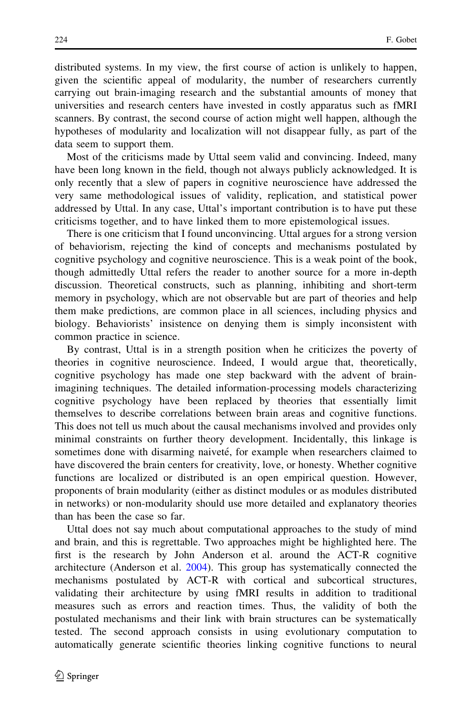distributed systems. In my view, the first course of action is unlikely to happen, given the scientific appeal of modularity, the number of researchers currently carrying out brain-imaging research and the substantial amounts of money that universities and research centers have invested in costly apparatus such as fMRI scanners. By contrast, the second course of action might well happen, although the hypotheses of modularity and localization will not disappear fully, as part of the data seem to support them.

Most of the criticisms made by Uttal seem valid and convincing. Indeed, many have been long known in the field, though not always publicly acknowledged. It is only recently that a slew of papers in cognitive neuroscience have addressed the very same methodological issues of validity, replication, and statistical power addressed by Uttal. In any case, Uttal's important contribution is to have put these criticisms together, and to have linked them to more epistemological issues.

There is one criticism that I found unconvincing. Uttal argues for a strong version of behaviorism, rejecting the kind of concepts and mechanisms postulated by cognitive psychology and cognitive neuroscience. This is a weak point of the book, though admittedly Uttal refers the reader to another source for a more in-depth discussion. Theoretical constructs, such as planning, inhibiting and short-term memory in psychology, which are not observable but are part of theories and help them make predictions, are common place in all sciences, including physics and biology. Behaviorists' insistence on denying them is simply inconsistent with common practice in science.

By contrast, Uttal is in a strength position when he criticizes the poverty of theories in cognitive neuroscience. Indeed, I would argue that, theoretically, cognitive psychology has made one step backward with the advent of brainimagining techniques. The detailed information-processing models characterizing cognitive psychology have been replaced by theories that essentially limit themselves to describe correlations between brain areas and cognitive functions. This does not tell us much about the causal mechanisms involved and provides only minimal constraints on further theory development. Incidentally, this linkage is sometimes done with disarming naiveté, for example when researchers claimed to have discovered the brain centers for creativity, love, or honesty. Whether cognitive functions are localized or distributed is an open empirical question. However, proponents of brain modularity (either as distinct modules or as modules distributed in networks) or non-modularity should use more detailed and explanatory theories than has been the case so far.

Uttal does not say much about computational approaches to the study of mind and brain, and this is regrettable. Two approaches might be highlighted here. The first is the research by John Anderson et al. around the ACT-R cognitive architecture (Anderson et al. [2004](#page-4-0)). This group has systematically connected the mechanisms postulated by ACT-R with cortical and subcortical structures, validating their architecture by using fMRI results in addition to traditional measures such as errors and reaction times. Thus, the validity of both the postulated mechanisms and their link with brain structures can be systematically tested. The second approach consists in using evolutionary computation to automatically generate scientific theories linking cognitive functions to neural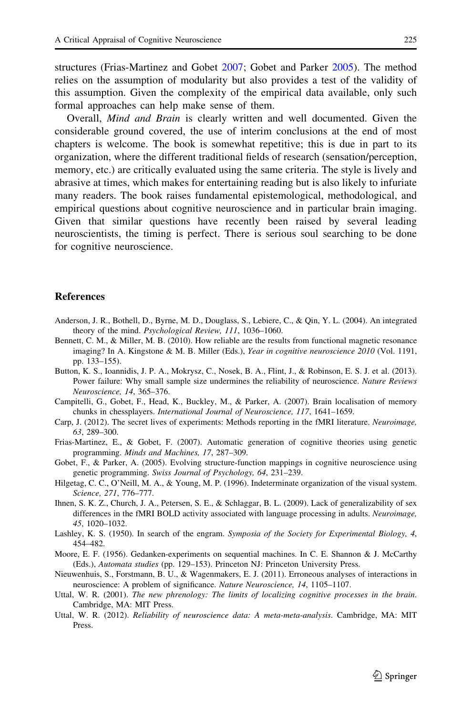<span id="page-4-0"></span>structures (Frias-Martinez and Gobet 2007; Gobet and Parker 2005). The method relies on the assumption of modularity but also provides a test of the validity of this assumption. Given the complexity of the empirical data available, only such formal approaches can help make sense of them.

Overall, Mind and Brain is clearly written and well documented. Given the considerable ground covered, the use of interim conclusions at the end of most chapters is welcome. The book is somewhat repetitive; this is due in part to its organization, where the different traditional fields of research (sensation/perception, memory, etc.) are critically evaluated using the same criteria. The style is lively and abrasive at times, which makes for entertaining reading but is also likely to infuriate many readers. The book raises fundamental epistemological, methodological, and empirical questions about cognitive neuroscience and in particular brain imaging. Given that similar questions have recently been raised by several leading neuroscientists, the timing is perfect. There is serious soul searching to be done for cognitive neuroscience.

## **References**

- Anderson, J. R., Bothell, D., Byrne, M. D., Douglass, S., Lebiere, C., & Qin, Y. L. (2004). An integrated theory of the mind. Psychological Review, 111, 1036–1060.
- Bennett, C. M., & Miller, M. B. (2010). How reliable are the results from functional magnetic resonance imaging? In A. Kingstone & M. B. Miller (Eds.), Year in cognitive neuroscience 2010 (Vol. 1191, pp. 133–155).
- Button, K. S., Ioannidis, J. P. A., Mokrysz, C., Nosek, B. A., Flint, J., & Robinson, E. S. J. et al. (2013). Power failure: Why small sample size undermines the reliability of neuroscience. Nature Reviews Neuroscience, 14, 365–376.
- Campitelli, G., Gobet, F., Head, K., Buckley, M., & Parker, A. (2007). Brain localisation of memory chunks in chessplayers. International Journal of Neuroscience, 117, 1641–1659.
- Carp, J. (2012). The secret lives of experiments: Methods reporting in the fMRI literature. Neuroimage, 63, 289–300.
- Frias-Martinez, E., & Gobet, F. (2007). Automatic generation of cognitive theories using genetic programming. Minds and Machines, 17, 287–309.
- Gobet, F., & Parker, A. (2005). Evolving structure-function mappings in cognitive neuroscience using genetic programming. Swiss Journal of Psychology, 64, 231–239.
- Hilgetag, C. C., O'Neill, M. A., & Young, M. P. (1996). Indeterminate organization of the visual system. Science, 271, 776–777.
- Ihnen, S. K. Z., Church, J. A., Petersen, S. E., & Schlaggar, B. L. (2009). Lack of generalizability of sex differences in the fMRI BOLD activity associated with language processing in adults. Neuroimage, 45, 1020–1032.
- Lashley, K. S. (1950). In search of the engram. Symposia of the Society for Experimental Biology, 4, 454–482.
- Moore, E. F. (1956). Gedanken-experiments on sequential machines. In C. E. Shannon & J. McCarthy (Eds.), Automata studies (pp. 129–153). Princeton NJ: Princeton University Press.
- Nieuwenhuis, S., Forstmann, B. U., & Wagenmakers, E. J. (2011). Erroneous analyses of interactions in neuroscience: A problem of significance. Nature Neuroscience, 14, 1105–1107.
- Uttal, W. R. (2001). The new phrenology: The limits of localizing cognitive processes in the brain. Cambridge, MA: MIT Press.
- Uttal, W. R. (2012). Reliability of neuroscience data: A meta-meta-analysis. Cambridge, MA: MIT Press.